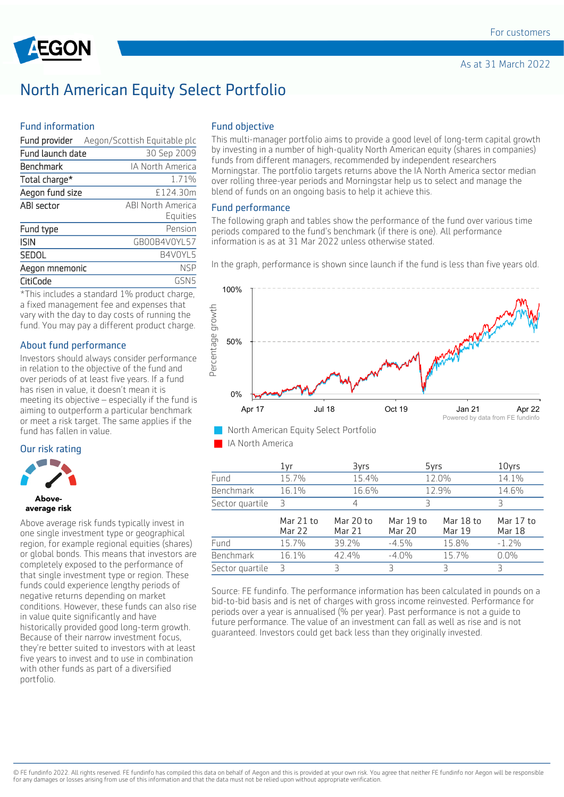

## North American Equity Select Portfolio

### Fund information

|                  | Fund provider Aegon/Scottish Equitable plc |
|------------------|--------------------------------------------|
| Fund launch date | 30 Sep 2009                                |
| Benchmark        | <b>IA North America</b>                    |
| Total charge*    | 1.71%                                      |
| Aegon fund size  | £124.30m                                   |
| ABI sector       | <b>ABI North America</b>                   |
|                  | Equities                                   |
| Fund type        | Pension                                    |
| <b>ISIN</b>      | GB00B4V0YL57                               |
| <b>SEDOL</b>     | B4V0YL5                                    |
| Aegon mnemonic   | <b>NSP</b>                                 |
| CitiCode         | GSN5                                       |

\*This includes a standard 1% product charge, a fixed management fee and expenses that vary with the day to day costs of running the fund. You may pay a different product charge.

### About fund performance

Investors should always consider performance in relation to the objective of the fund and over periods of at least five years. If a fund has risen in value, it doesn't mean it is meeting its objective – especially if the fund is aiming to outperform a particular benchmark or meet a risk target. The same applies if the fund has fallen in value.

#### Our risk rating



#### **Above** average risk

Above average risk funds typically invest in one single investment type or geographical region, for example regional equities (shares) or global bonds. This means that investors are completely exposed to the performance of that single investment type or region. These funds could experience lengthy periods of negative returns depending on market conditions. However, these funds can also rise in value quite significantly and have historically provided good long-term growth. Because of their narrow investment focus, they're better suited to investors with at least five years to invest and to use in combination with other funds as part of a diversified portfolio.

### Fund objective

This multi-manager portfolio aims to provide a good level of long-term capital growth by investing in a number of high-quality North American equity (shares in companies) funds from different managers, recommended by independent researchers Morningstar. The portfolio targets returns above the IA North America sector median over rolling three-year periods and Morningstar help us to select and manage the blend of funds on an ongoing basis to help it achieve this.

### Fund performance

The following graph and tables show the performance of the fund over various time periods compared to the fund's benchmark (if there is one). All performance information is as at 31 Mar 2022 unless otherwise stated.

In the graph, performance is shown since launch if the fund is less than five years old.



IA North America

|                 | 1vr                        | 3yrs                |                            | 5yrs                       | 10yrs                      |
|-----------------|----------------------------|---------------------|----------------------------|----------------------------|----------------------------|
| Fund            | 15.7%                      | 15.4%               |                            | 12.0%                      | 14.1%                      |
| Benchmark       | 16.1%                      | 16.6%               |                            | 12.9%                      | 14.6%                      |
| Sector quartile | 3                          |                     | З                          |                            | Ρ                          |
|                 | Mar 21 to<br><b>Mar 22</b> | Mar 20 to<br>Mar 21 | Mar 19 to<br><b>Mar 20</b> | Mar 18 to<br><b>Mar 19</b> | Mar 17 to<br><b>Mar 18</b> |
| Fund            | 15.7%                      | 39.2%               | $-4.5%$                    | 15.8%                      | $-1.2\%$                   |
| Benchmark       | 16.1%                      | 42.4%               | $-4.0%$                    | 15.7%                      | $0.0\%$                    |
| Sector quartile | Р                          | 3                   | Ρ                          | ₹                          |                            |

Source: FE fundinfo. The performance information has been calculated in pounds on a bid-to-bid basis and is net of charges with gross income reinvested. Performance for periods over a year is annualised (% per year). Past performance is not a guide to future performance. The value of an investment can fall as well as rise and is not guaranteed. Investors could get back less than they originally invested.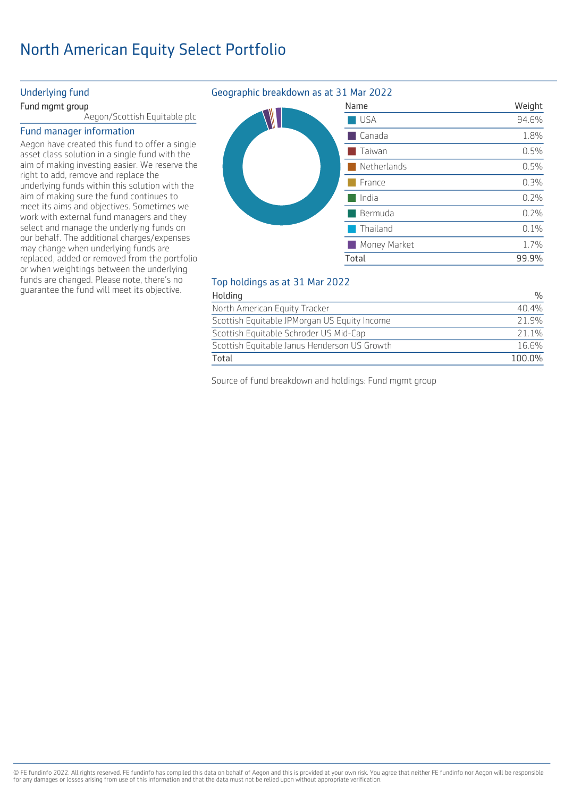# North American Equity Select Portfolio

### Underlying fund

### Fund mgmt group

Aegon/Scottish Equitable plc

### Fund manager information

Aegon have created this fund to offer a single asset class solution in a single fund with the aim of making investing easier. We reserve the right to add, remove and replace the underlying funds within this solution with the aim of making sure the fund continues to meet its aims and objectives. Sometimes we work with external fund managers and they select and manage the underlying funds on our behalf. The additional charges/expenses may change when underlying funds are replaced, added or removed from the portfolio or when weightings between the underlying funds are changed. Please note, there's no guarantee the fund will meet its objective.

### Geographic breakdown as at 31 Mar 2022

| Name         | Weight |
|--------------|--------|
| USA          | 94.6%  |
| Canada       | 1.8%   |
| Taiwan       | 0.5%   |
| Netherlands  | 0.5%   |
| France       | 0.3%   |
| India        | 0.2%   |
| Bermuda      | 0.2%   |
| Thailand     | 0.1%   |
| Money Market | 1.7%   |
| Total        | 99.9%  |
|              |        |

### Top holdings as at 31 Mar 2022

| Holding                                      | 0/2    |
|----------------------------------------------|--------|
| North American Equity Tracker                | 40.4%  |
| Scottish Equitable JPMorgan US Equity Income | 21.9%  |
| Scottish Equitable Schroder US Mid-Cap       | 21.1%  |
| Scottish Equitable Janus Henderson US Growth | 16.6%  |
| Total                                        | 100.0% |

Source of fund breakdown and holdings: Fund mgmt group